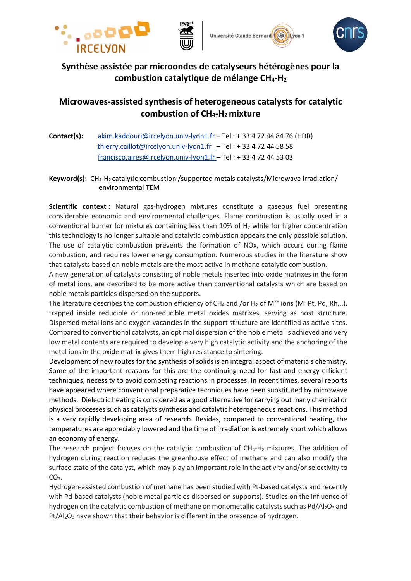







# **Synthèse assistée par microondes de catalyseurs hétérogènes pour la combustion catalytique de mélange CH4-H<sup>2</sup>**

## **Microwaves-assisted synthesis of heterogeneous catalysts for catalytic combustion of CH4-H2 mixture**

**Contact(s):** [akim.kaddouri@ircelyon.univ-lyon1.fr](mailto:akim.kaddouri@ircelyon.univ-lyon1.fr) – Tel : + 33 4 72 44 84 76 (HDR) [thierry.caillot@ircelyon.univ-lyon1.fr](mailto:thierry.caillot@ircelyon.univ-lyon1.fr) – Tel : + 33 4 72 44 58 58 [francisco.aires@ircelyon.univ-lyon1.fr](mailto:francisco.aires@ircelyon.univ-lyon1.fr%20–) – Tel : + 33 4 72 44 53 03

**Keyword(s):** CH4-H2 catalytic combustion /supported metals catalysts/Microwave irradiation/ environmental TEM

**Scientific context :** Natural gas-hydrogen mixtures constitute a gaseous fuel presenting considerable economic and environmental challenges. Flame combustion is usually used in a conventional burner for mixtures containing less than 10% of  $H_2$  while for higher concentration this technology is no longer suitable and catalytic combustion appears the only possible solution. The use of catalytic combustion prevents the formation of NOx, which occurs during flame combustion, and requires lower energy consumption. Numerous studies in the literature show that catalysts based on noble metals are the most active in methane catalytic combustion.

A new generation of catalysts consisting of noble metals inserted into oxide matrixes in the form of metal ions, are described to be more active than conventional catalysts which are based on noble metals particles dispersed on the supports.

The literature describes the combustion efficiency of CH<sub>4</sub> and /or H<sub>2</sub> of M<sup>2+</sup> ions (M=Pt, Pd, Rh,..), trapped inside reducible or non-reducible metal oxides matrixes, serving as host structure. Dispersed metal ions and oxygen vacancies in the support structure are identified as active sites. Compared to conventional catalysts, an optimal dispersion of the noble metal is achieved and very low metal contents are required to develop a very high catalytic activity and the anchoring of the metal ions in the oxide matrix gives them high resistance to sintering.

Development of new routes for the synthesis of solids is an integral aspect of materials chemistry. Some of the important reasons for this are the continuing need for fast and energy-efficient techniques, necessity to avoid competing reactions in processes. In recent times, several reports have appeared where conventional preparative techniques have been substituted by microwave methods. Dielectric heating is considered as a good alternative for carrying out many chemical or physical processes such as catalysts synthesis and catalytic heterogeneous reactions. This method is a very rapidly developing area of research. Besides, compared to conventional heating, the temperatures are appreciably lowered and the time of irradiation is extremely short which allows an economy of energy.

The research project focuses on the catalytic combustion of  $CH<sub>4</sub>-H<sub>2</sub>$  mixtures. The addition of hydrogen during reaction reduces the greenhouse effect of methane and can also modify the surface state of the catalyst, which may play an important role in the activity and/or selectivity to  $CO<sub>2</sub>$ .

Hydrogen-assisted combustion of methane has been studied with Pt-based catalysts and recently with Pd-based catalysts (noble metal particles dispersed on supports). Studies on the influence of hydrogen on the catalytic combustion of methane on monometallic catalysts such as  $Pd/Al_2O_3$  and Pt/Al<sub>2</sub>O<sub>3</sub> have shown that their behavior is different in the presence of hydrogen.